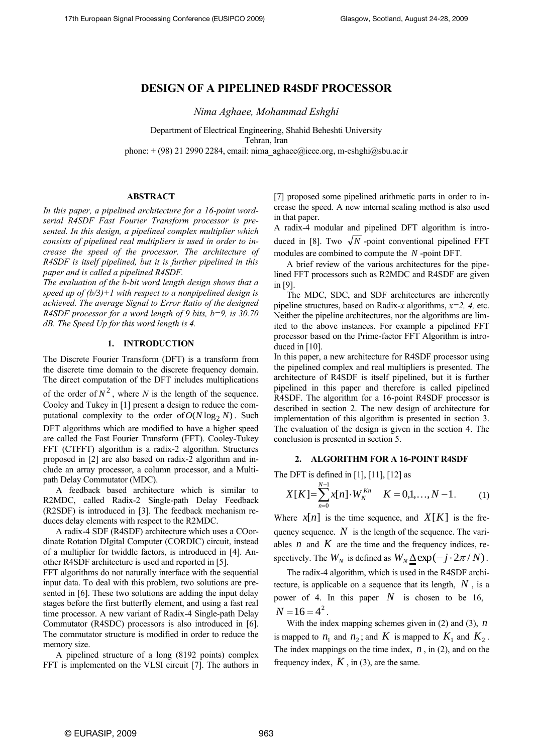# **DESIGN OF A PIPELINED R4SDF PROCESSOR**

*Nima Aghaee, Mohammad Eshghi*

Department of Electrical Engineering, Shahid Beheshti University Tehran, Iran phone:  $+(98)$  21 2990 2284, email[: nima\\_aghaee@ieee.org,](mailto:nima_aghaee@ieee.org) [m-eshghi@sbu.ac.ir](mailto:m-eshghi@sbu.ac.ir)

## **ABSTRACT**

*In this paper, a pipelined architecture for a 16-point wordserial R4SDF Fast Fourier Transform processor is presented. In this design, a pipelined complex multiplier which consists of pipelined real multipliers is used in order to increase the speed of the processor. The architecture of R4SDF is itself pipelined, but it is further pipelined in this paper and is called a pipelined R4SDF.*

*The evaluation of the b-bit word length design shows that a speed up of (b/3)+1 with respect to a nonpipelined design is achieved. The average Signal to Error Ratio of the designed R4SDF processor for a word length of 9 bits, b=9, is 30.70 dB. The Speed Up for this word length is 4.*

### **1. INTRODUCTION**

The Discrete Fourier Transform (DFT) is a transform from the discrete time domain to the discrete frequency domain. The direct computation of the DFT includes multiplications

of the order of  $N^2$ , where *N* is the length of the sequence. Cooley and Tukey in [1] present a design to reduce the computational complexity to the order of  $O(N \log_2 N)$ . Such DFT algorithms which are modified to have a higher speed are called the Fast Fourier Transform (FFT). Cooley-Tukey FFT (CTFFT) algorithm is a radix-2 algorithm. Structures proposed in [2] are also based on radix-2 algorithm and include an array processor, a column processor, and a Multipath Delay Commutator (MDC).

A feedback based architecture which is similar to R2MDC, called Radix-2 Single-path Delay Feedback (R2SDF) is introduced in [3]. The feedback mechanism reduces delay elements with respect to the R2MDC.

A radix-4 SDF (R4SDF) architecture which uses a COordinate Rotation DIgital Computer (CORDIC) circuit, instead of a multiplier for twiddle factors, is introduced in [4]. Another R4SDF architecture is used and reported in [5].

FFT algorithms do not naturally interface with the sequential input data. To deal with this problem, two solutions are presented in [6]. These two solutions are adding the input delay stages before the first butterfly element, and using a fast real time processor. A new variant of Radix-4 Single-path Delay Commutator (R4SDC) processors is also introduced in [6]. The commutator structure is modified in order to reduce the memory size.

A pipelined structure of a long (8192 points) complex FFT is implemented on the VLSI circuit [7]. The authors in [7] proposed some pipelined arithmetic parts in order to increase the speed. A new internal scaling method is also used in that paper.

A radix-4 modular and pipelined DFT algorithm is introduced in [8]. Two  $\sqrt{N}$  -point conventional pipelined FFT modules are combined to compute the *N* -point DFT.

A brief review of the various architectures for the pipelined FFT processors such as R2MDC and R4SDF are given in [9].

The MDC, SDC, and SDF architectures are inherently pipeline structures, based on Radix-*x* algorithms, *x=2, 4,* etc. Neither the pipeline architectures, nor the algorithms are limited to the above instances. For example a pipelined FFT processor based on the Prime-factor FFT Algorithm is introduced in [10].

In this paper, a new architecture for R4SDF processor using the pipelined complex and real multipliers is presented. The architecture of R4SDF is itself pipelined, but it is further pipelined in this paper and therefore is called pipelined R4SDF. The algorithm for a 16-point R4SDF processor is described in section 2. The new design of architecture for implementation of this algorithm is presented in section 3. The evaluation of the design is given in the section 4. The conclusion is presented in section 5.

#### **2. ALGORITHM FOR A 16-POINT R4SDF**

The DFT is defined in [1], [11], [12] as

$$
X[K] = \sum_{n=0}^{N-1} x[n] \cdot W_N^{Kn} \quad K = 0, 1, ..., N-1.
$$
 (1)

Where  $x[n]$  is the time sequence, and  $X[K]$  is the frequency sequence. N is the length of the sequence. The variables  $n$  and  $K$  are the time and the frequency indices, respectively. The  $W_N$  is defined as  $W_N \triangleq \exp(-j \cdot 2\pi / N)$ .

The radix-4 algorithm, which is used in the R4SDF architecture, is applicable on a sequence that its length, *N* , is a power of 4. In this paper  $N$  is chosen to be 16,  $N = 16 = 4^2$ 

With the index mapping schemes given in (2) and (3), *n* is mapped to  $n_1$  and  $n_2$ ; and K is mapped to  $K_1$  and  $K_2$ . The index mappings on the time index, *n* , in (2), and on the frequency index,  $K$ , in (3), are the same.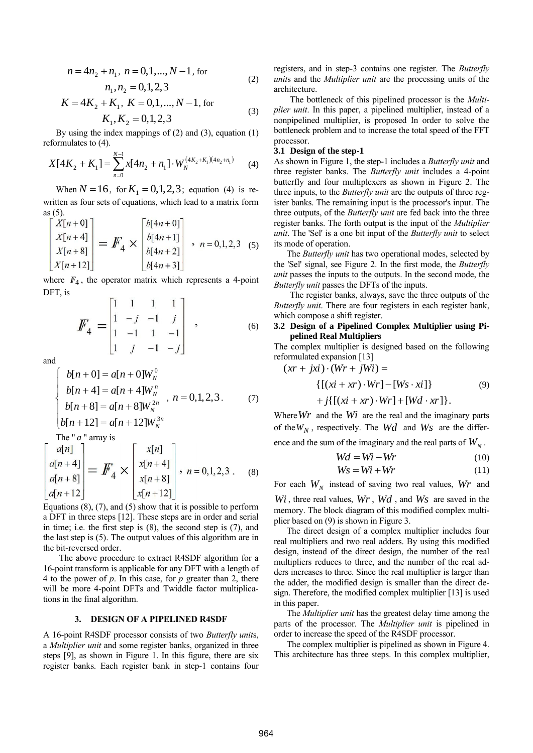$$
n = 4n2 + n1, n = 0, 1, ..., N - 1, for
$$
  
\n
$$
n1, n2 = 0, 1, 2, 3
$$
 (2)

$$
K = 4K_2 + K_1, K = 0, 1, ..., N - 1, \text{ for}
$$
  

$$
K_1, K_2 = 0, 1, 2, 3
$$
 (3)

By using the index mappings of  $(2)$  and  $(3)$ , equation  $(1)$ reformulates to (4).

$$
X[4K_2 + K_1] = \sum_{n=0}^{N-1} x[4n_2 + n_1] \cdot W_N^{(4K_2 + K_1)(4n_2 + n_1)} \tag{4}
$$

When  $N = 16$ , for  $K_1 = 0, 1, 2, 3$ ; equation (4) is rewritten as four sets of equations, which lead to a matrix form as (5).

$$
\begin{bmatrix} X[n+0] \\ X[n+4] \\ X[n+8] \\ X[n+12] \end{bmatrix} = \mathbf{F}_4 \times \begin{bmatrix} b[4n+0] \\ b[4n+1] \\ b[4n+2] \\ b[4n+3] \end{bmatrix}, \quad n = 0, 1, 2, 3 \quad (5)
$$

where  $F_4$ , the operator matrix which represents a 4-point DFT, is

$$
F_4 = \begin{bmatrix} 1 & 1 & 1 & 1 \\ 1 & -j & -1 & j \\ 1 & -1 & 1 & -1 \\ 1 & j & -1 & -j \end{bmatrix}, \qquad (6)
$$

and

 $\sqrt{ }$ 

$$
\begin{cases}\nb[n+0] = a[n+0]W_N^0 \\
b[n+4] = a[n+4]W_N^n \\
b[n+8] = a[n+8]W_N^{2n}, \quad n = 0, 1, 2, 3. \quad (7) \\
b[n+12] = a[n+12]W_N^{3n} \\
\text{The } "a" \text{ array is} \\
a[n] \quad \begin{bmatrix} x[n] \end{bmatrix}\n\end{cases}
$$

$$
\begin{bmatrix} a[n+4] \\ a[n+8] \\ a[n+12 \end{bmatrix} = F_4 \times \begin{bmatrix} x[n+4] \\ x[n+8] \\ x[n+12] \end{bmatrix}, n = 0, 1, 2, 3. \quad (8)
$$

Equations (8), (7), and (5) show that it is possible to perform a DFT in three steps [12]. These steps are in order and serial in time; i.e. the first step is (8), the second step is (7), and the last step is (5). The output values of this algorithm are in the bit-reversed order.

The above procedure to extract R4SDF algorithm for a 16-point transform is applicable for any DFT with a length of 4 to the power of *p*. In this case, for *p* greater than 2, there will be more 4-point DFTs and Twiddle factor multiplications in the final algorithm.

#### **3. DESIGN OF A PIPELINED R4SDF**

A 16-point R4SDF processor consists of two *Butterfly unit*s, a *Multiplier unit* and some register banks, organized in three steps [9], as shown in Figure 1. In this figure, there are six register banks. Each register bank in step-1 contains four registers, and in step-3 contains one register. The *Butterfly unit*s and the *Multiplier unit* are the processing units of the architecture.

The bottleneck of this pipelined processor is the *Multiplier unit*. In this paper, a pipelined multiplier, instead of a nonpipelined multiplier, is proposed In order to solve the bottleneck problem and to increase the total speed of the FFT processor.

# **3.1 Design of the step-1**

As shown in Figure 1, the step-1 includes a *Butterfly unit* and three register banks. The *Butterfly unit* includes a 4-point butterfly and four multiplexers as shown in Figure 2. The three inputs, to the *Butterfly unit* are the outputs of three register banks. The remaining input is the processor's input. The three outputs, of the *Butterfly unit* are fed back into the three register banks. The forth output is the input of the *Multiplier unit*. The 'Sel' is a one bit input of the *Butterfly unit* to select its mode of operation.

The *Butterfly unit* has two operational modes, selected by the 'Sel' signal, see Figure 2. In the first mode, the *Butterfly unit* passes the inputs to the outputs. In the second mode, the *Butterfly unit* passes the DFTs of the inputs.

The register banks, always, save the three outputs of the *Butterfly unit*. There are four registers in each register bank, which compose a shift register.

# **3.2 Design of a Pipelined Complex Multiplier using Pipelined Real Multipliers**

The complex multiplier is designed based on the following reformulated expansion [13]

$$
(xr + jxi) \cdot (Wr + jWi) =
$$

$$
\{ [(xi + xr) \cdot Wr] - [Ws \cdot xi] \}
$$
 (9)

$$
+j\{[(xi+xr)\cdot Wr]+[Wd\cdot xr]\}.
$$

Where  $Wr$  and the  $Wi$  are the real and the imaginary parts of the *W<sup>N</sup>* , respectively. The *Wd* and *Ws* are the differ-

ence and the sum of the imaginary and the real parts of  $W_N$ .

$$
Wd = Wi - Wr \tag{10}
$$

$$
Ws = Wi + Wr \tag{11}
$$

For each  $W_N$  instead of saving two real values,  $Wr$  and

Wi, three real values, Wr, Wd, and Ws are saved in the memory. The block diagram of this modified complex multiplier based on (9) is shown in Figure 3.

The direct design of a complex multiplier includes four real multipliers and two real adders. By using this modified design, instead of the direct design, the number of the real multipliers reduces to three, and the number of the real adders increases to three. Since the real multiplier is larger than the adder, the modified design is smaller than the direct design. Therefore, the modified complex multiplier [13] is used in this paper.

The *Multiplier unit* has the greatest delay time among the parts of the processor. The *Multiplier unit* is pipelined in order to increase the speed of the R4SDF processor.

The complex multiplier is pipelined as shown in Figure 4. This architecture has three steps. In this complex multiplier,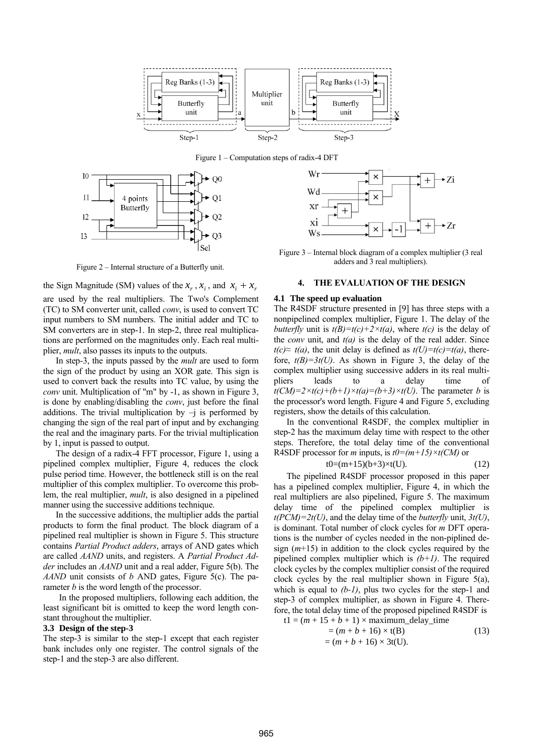

Figure 1 – Computation steps of radix-4 DFT



Figure 2 – Internal structure of a Butterfly unit.

the Sign Magnitude (SM) values of the  $x_r$ ,  $x_i$ , and  $x_i + x_r$ are used by the real multipliers. The Two's Complement (TC) to SM converter unit, called *conv*, is used to convert TC input numbers to SM numbers. The initial adder and TC to SM converters are in step-1. In step-2, three real multiplications are performed on the magnitudes only. Each real multiplier, *mult*, also passes its inputs to the outputs.

In step-3, the inputs passed by the *mult* are used to form the sign of the product by using an XOR gate. This sign is used to convert back the results into TC value, by using the *conv* unit. Multiplication of "m" by -1, as shown in Figure 3, is done by enabling/disabling the *conv*, just before the final additions. The trivial multiplication by  $-j$  is performed by changing the sign of the real part of input and by exchanging the real and the imaginary parts. For the trivial multiplication by 1, input is passed to output.

The design of a radix-4 FFT processor, Figure 1, using a pipelined complex multiplier, Figure 4, reduces the clock pulse period time. However, the bottleneck still is on the real multiplier of this complex multiplier. To overcome this problem, the real multiplier, *mult*, is also designed in a pipelined manner using the successive additions technique.

In the successive additions, the multiplier adds the partial products to form the final product. The block diagram of a pipelined real multiplier is shown in Figure 5. This structure contains *Partial Product adders*, arrays of AND gates which are called *AAND* units, and registers. A *Partial Product Adder* includes an *AAND* unit and a real adder, Figure 5(b). The *AAND* unit consists of *b* AND gates, Figure 5(c). The parameter *b* is the word length of the processor.

In the proposed multipliers, following each addition, the least significant bit is omitted to keep the word length constant throughout the multiplier.

### **3.3 Design of the step-3**

The step-3 is similar to the step-1 except that each register bank includes only one register. The control signals of the step-1 and the step-3 are also different.



Figure 3 – Internal block diagram of a complex multiplier (3 real adders and 3 real multipliers).

### **4. THE EVALUATION OF THE DESIGN**

#### **4.1 The speed up evaluation**

The R4SDF structure presented in [9] has three steps with a nonpipelined complex multiplier, Figure 1. The delay of the *butterfly* unit is  $t(B)=t(c)+2\times t(a)$ , where  $t(c)$  is the delay of the *conv* unit, and *t(a)* is the delay of the real adder. Since *t*(*c*)≈ *t*(*a*), the unit delay is defined as *t*(*U*)=*t*(*c*)=*t*(*a*), therefore,  $t(B)=3t(U)$ . As shown in Figure 3, the delay of the complex multiplier using successive adders in its real multipliers leads to a delay time of  $t(CM)=2\times t(c)+(b+1)\times t(a)=(b+3)\times t(U)$ . The parameter *b* is the processor's word length. Figure 4 and Figure 5, excluding registers, show the details of this calculation.

In the conventional R4SDF, the complex multiplier in step-2 has the maximum delay time with respect to the other steps. Therefore, the total delay time of the conventional R4SDF processor for *m* inputs, is  $t0=(m+15)\times t(CM)$  or

$$
t0=(m+15)(b+3)\times t(U). \tag{12}
$$

The pipelined R4SDF processor proposed in this paper has a pipelined complex multiplier, Figure 4, in which the real multipliers are also pipelined, Figure 5. The maximum delay time of the pipelined complex multiplier is *t(PCM)=2t(U)*, and the delay time of the *butterfly* unit, *3t(U)*, is dominant. Total number of clock cycles for *m* DFT operations is the number of cycles needed in the non-piplined design (*m*+15) in addition to the clock cycles required by the pipelined complex multiplier which is *(b+1)*. The required clock cycles by the complex multiplier consist of the required clock cycles by the real multiplier shown in Figure 5(a), which is equal to *(b-1)*, plus two cycles for the step-1 and step-3 of complex multiplier, as shown in Figure 4. Therefore, the total delay time of the proposed pipelined R4SDF is

$$
t1 = (m + 15 + b + 1) \times maximum\_delay\_time
$$

$$
= (m + b + 16) \times t(B)
$$
  
=  $(m + b + 16) \times 3t(U)$ . (13)

 $(12)$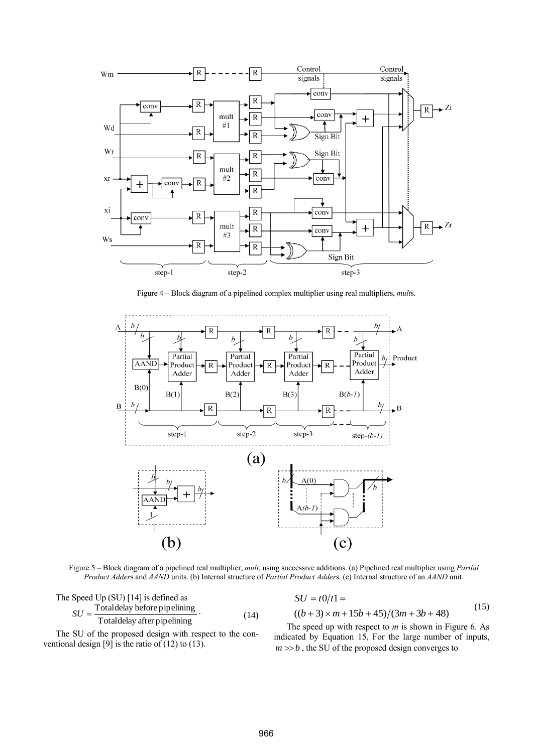

Figure 4 – Block diagram of a pipelined complex multiplier using real multipliers, *mult*s.



Figure 5 – Block diagram of a pipelined real multiplier, *mult*, using successive additions. (a) Pipelined real multiplier using *Partial Product Adder*s and *AAND* units. (b) Internal structure of *Partial Product Adder*s. (c) Internal structure of an *AAND* unit.

The Speed Up (SU) [14] is defined as  
\n
$$
SU = \frac{\text{Totaldelay before pipelining}}{\text{Totaldelay after pipelining}}.
$$
\n(14)

The SU of the proposed design with respect to the conventional design [9] is the ratio of  $(12)$  to  $(13)$ .

 $((b+3) \times m + 15b + 45)/(3m + 3b + 48)$  $SU = t0/t1 =$ (15)

The speed up with respect to *m* is shown in Figure 6. As indicated by Equation 15, For the large number of inputs,  $m \gg b$ , the SU of the proposed design converges to